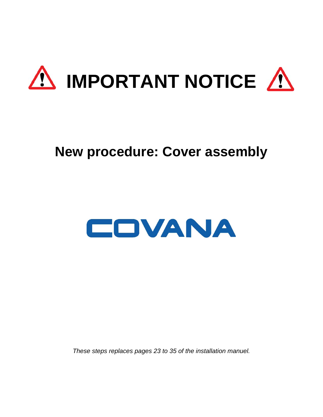

# **New procedure: Cover assembly**



*These steps replaces pages 23 to 35 of the installation manuel.*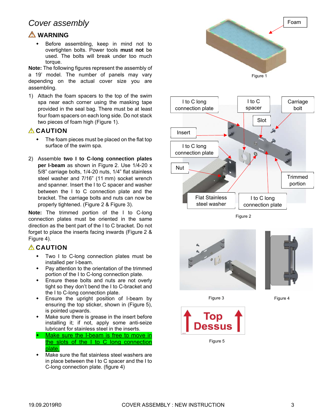# *Cover assembly*

#### **WARNING**

 Before assembling, keep in mind not to overtighten bolts. Power tools **must not** be used. The bolts will break under too much torque.

**Note:** The following figures represent the assembly of a 19' model. The number of panels may vary depending on the actual cover size you are assembling.

1) Attach the foam spacers to the top of the swim spa near each corner using the masking tape provided in the seal bag. There must be at least four foam spacers on each long side. Do not stack two pieces of foam high (Figure 1).

#### *A* CAUTION

- The foam pieces must be placed on the flat top surface of the swim spa.
- 2) Assemble **two I to C-long connection plates per I-beam** as shown in Figure 2. Use 1/4-20 x 5/8" carriage bolts, 1/4-20 nuts, 1/4" flat stainless steel washer and 7/16" (11 mm) socket wrench and spanner. Insert the I to C spacer and washer between the I to C connection plate and the bracket. The carriage bolts and nuts can now be properly tightened. (Figure 2 & Figure 3).

**Note:** The trimmed portion of the I to C-long connection plates must be oriented in the same direction as the bent part of the I to C bracket. Do not forget to place the inserts facing inwards (Figure 2 & Figure 4).

### **CAUTION**

- Two I to C-long connection plates must be installed per I-beam.
- Pay attention to the orientation of the trimmed portion of the I to C-long connection plate.
- Ensure these bolts and nuts are not overly tight so they don't bend the I to C-bracket and the I to C-long connection plate.
- Ensure the upright position of I-beam by ensuring the top sticker, shown in (Figure 5), is pointed upwards.
- Make sure there is grease in the insert before installing it; if not, apply some anti-seize lubricant for stainless steel in the inserts.
- Make sure the I-beam is free to move in the slots of the I to C long connection plate.
- Make sure the flat stainless steel washers are in place between the I to C spacer and the I to C-long connection plate. (figure 4)



Figure 5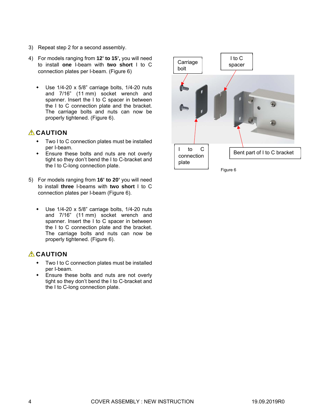- 3) Repeat step 2 for a second assembly.
- 4) For models ranging from **12' to 15',** you will need to install **one** I-beam with **two short** I to C connection plates per I-beam. (Figure 6)
	- Use 1/4-20 x 5/8" carriage bolts, 1/4-20 nuts and 7/16" (11 mm) socket wrench and spanner. Insert the I to C spacer in between the I to C connection plate and the bracket. The carriage bolts and nuts can now be properly tightened. (Figure 6).

#### *A* CAUTION

- Two I to C connection plates must be installed per I-beam.
- Ensure these bolts and nuts are not overly tight so they don't bend the I to C-bracket and the I to C-long connection plate.
- 5) For models ranging from **16' to 20'** you will need to install **three** I-beams with **two short** I to C connection plates per I-beam (Figure 6).
	- Use 1/4-20 x 5/8" carriage bolts, 1/4-20 nuts and 7/16" (11 mm) socket wrench and spanner. Insert the I to C spacer in between the I to C connection plate and the bracket. The carriage bolts and nuts can now be properly tightened. (Figure 6).

#### **ACAUTION**

- Two I to C connection plates must be installed per I-beam.
- Ensure these bolts and nuts are not overly tight so they don't bend the I to C-bracket and the I to C-long connection plate.

![](_page_3_Figure_11.jpeg)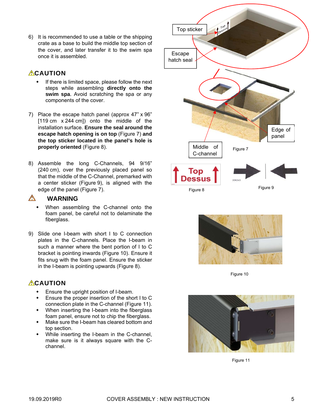6) It is recommended to use a table or the shipping crate as a base to build the middle top section of the cover, and later transfer it to the swim spa once it is assembled.

#### **ACAUTION**

- If there is limited space, please follow the next steps while assembling **directly onto the swim spa**. Avoid scratching the spa or any components of the cover.
- 7) Place the escape hatch panel (approx 47" x 96" [119 cm x 244 cm]) onto the middle of the installation surface. **Ensure the seal around the escape hatch opening is on top** (Figure 7) **and the top sticker located in the panel's hole is properly oriented** (Figure 8).
- 8) Assemble the long C-Channels, 94 9/16" (240 cm), over the previously placed panel so that the middle of the C-Channel, premarked with a center sticker (Figure 9), is aligned with the edge of the panel (Figure 7).

#### $\wedge$ **WARNING**

- When assembling the C-channel onto the foam panel, be careful not to delaminate the fiberglass.
- 9) Slide one I-beam with short I to C connection plates in the C-channels. Place the I-beam in such a manner where the bent portion of I to C bracket is pointing inwards (Figure 10). Ensure it fits snug with the foam panel. Ensure the sticker in the I-beam is pointing upwards (Figure 8).

### **ACAUTION**

- Ensure the upright position of I-beam.
- Ensure the proper insertion of the short I to C connection plate in the C-channel (Figure 11).
- When inserting the I-beam into the fiberglass foam panel, ensure not to chip the fiberglass.
- Make sure the I-beam has cleared bottom and top section.
- While inserting the I-beam in the C-channel, make sure is it always square with the Cchannel.

![](_page_4_Figure_14.jpeg)

![](_page_4_Picture_15.jpeg)

Figure 10

![](_page_4_Picture_17.jpeg)

Figure 11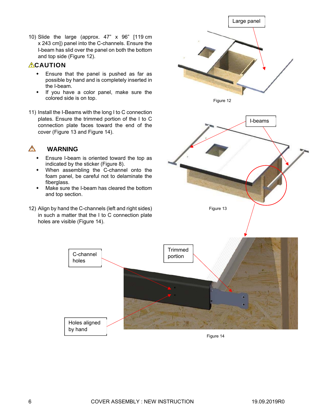10) Slide the large (approx. 47" x 96" [119 cm x 243 cm]) panel into the C-channels. Ensure the I-beam has slid over the panel on both the bottom and top side (Figure 12).

#### **ACAUTION**

- Ensure that the panel is pushed as far as possible by hand and is completely inserted in the I-beam.
- If you have a color panel, make sure the colored side is on top.
- 11) Install the I-Beams with the long I to C connection plates. Ensure the trimmed portion of the I to C connection plate faces toward the end of the cover (Figure 13 and Figure 14).

#### $\Lambda$ **WARNING**

- Ensure I-beam is oriented toward the top as indicated by the sticker (Figure 8).
- When assembling the C-channel onto the foam panel, be careful not to delaminate the fiberglass.
- Make sure the I-beam has cleared the bottom and top section.
- 12) Align by hand the C-channels (left and right sides) in such a matter that the I to C connection plate holes are visible (Figure 14).

C-channel holes

Holes aligned by hand

![](_page_5_Figure_10.jpeg)

![](_page_5_Figure_11.jpeg)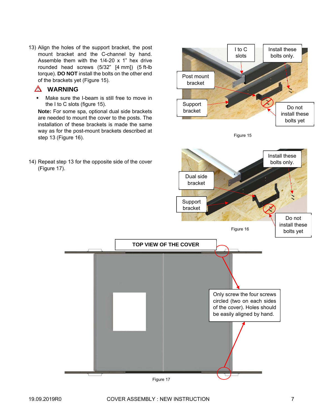13) Align the holes of the support bracket, the post mount bracket and the C-channel by hand. Assemble them with the  $1/4$ -20 x 1" hex drive rounded head screws (5/32" [4 mm]) (5 ft-lb torque). **DO NOT** install the bolts on the other end of the brackets yet (Figure 15).

#### Δ **WARNING**

 Make sure the I-beam is still free to move in the I to C slots (figure 15).

**Note:** For some spa, optional dual side brackets are needed to mount the cover to the posts. The installation of these brackets is made the same way as for the post-mount brackets described at step 13 (Figure 16).

![](_page_6_Figure_4.jpeg)

![](_page_6_Figure_5.jpeg)

Install these

I to C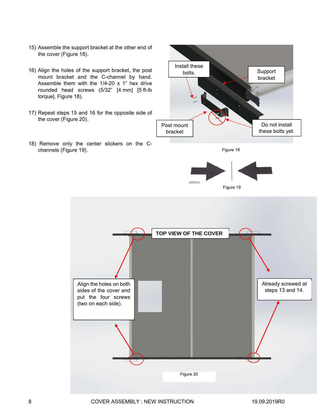- 15) Assemble the support bracket at the other end of the cover (Figure 18).
- 16) Align the holes of the support bracket, the post mount bracket and the C-channel by hand. Assemble them with the 1/4-20 x 1" hex drive rounded head screws (5/32" [4 mm] [5 ft-lb torque]. Figure 18).
- 17) Repeat steps 15 and 16 for the opposite side of the cover (Figure 20).
- 18) Remove only the center stickers on the Cchannels (Figure 19).

![](_page_7_Picture_4.jpeg)

Figure 18

![](_page_7_Picture_6.jpeg)

![](_page_7_Figure_7.jpeg)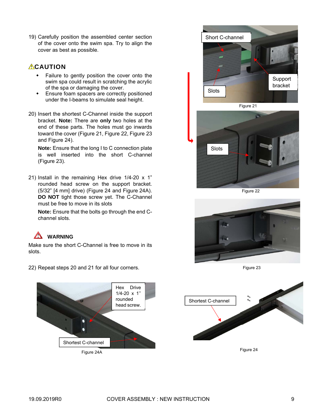19) Carefully position the assembled center section of the cover onto the swim spa. Try to align the cover as best as possible.

### **ACAUTION**

- Failure to gently position the cover onto the swim spa could result in scratching the acrylic of the spa or damaging the cover.
- Ensure foam spacers are correctly positioned under the I-beams to simulate seal height.
- 20) Insert the shortest C-Channel inside the support bracket. **Note:** There are **only** two holes at the end of these parts. The holes must go inwards toward the cover (Figure 21, Figure 22, Figure 23 and Figure 24).

**Note:** Ensure that the long I to C connection plate is well inserted into the short C-channel (Figure 23).

21) Install in the remaining Hex drive 1/4-20 x 1" rounded head screw on the support bracket. (5/32" [4 mm] drive) (Figure 24 and Figure 24A). **DO NOT** tight those screw yet. The C-Channel must be free to move in its slots

**Note:** Ensure that the bolts go through the end Cchannel slots.

#### Λ **WARNING**

Make sure the short C-Channel is free to move in its slots.

![](_page_8_Figure_10.jpeg)

![](_page_8_Picture_11.jpeg)

![](_page_8_Picture_12.jpeg)

![](_page_8_Picture_13.jpeg)

Figure 22

![](_page_8_Picture_15.jpeg)

Figure 23

![](_page_8_Figure_17.jpeg)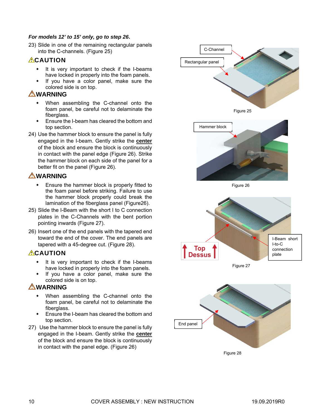#### *For models 12' to 15' only, go to step 26***.**

23) Slide in one of the remaining rectangular panels into the C-channels. (Figure 25)

#### **ACAUTION**

- $\cdot$  It is very important to check if the I-beams have locked in properly into the foam panels.
- If you have a color panel, make sure the colored side is on top.

#### **WARNING**

- When assembling the C-channel onto the foam panel, be careful not to delaminate the fiberglass.
- **Ensure the I-beam has cleared the bottom and** top section.
- 24) Use the hammer block to ensure the panel is fully engaged in the I-beam. Gently strike the **center** of the block and ensure the block is continuously in contact with the panel edge (Figure 26). Strike the hammer block on each side of the panel for a better fit on the panel (Figure 26).

#### **WARNING**

- Ensure the hammer block is properly fitted to the foam panel before striking. Failure to use the hammer block properly could break the lamination of the fiberglass panel (Figure26).
- 25) Slide the I-Beam with the short I to C connection plates in the C-Channels with the bent portion pointing inwards (Figure 27).
- 26) Insert one of the end panels with the tapered end toward the end of the cover. The end panels are tapered with a 45-degree cut. (Figure 28).

#### **ACAUTION**

- It is very important to check if the I-beams have locked in properly into the foam panels.
- If you have a color panel, make sure the colored side is on top.

#### **AWARNING**

- When assembling the C-channel onto the foam panel, be careful not to delaminate the fiberglass.
- Ensure the I-beam has cleared the bottom and top section.
- 27) Use the hammer block to ensure the panel is fully engaged in the I-beam. Gently strike the **center**  of the block and ensure the block is continuously in contact with the panel edge. (Figure 26)

![](_page_9_Figure_20.jpeg)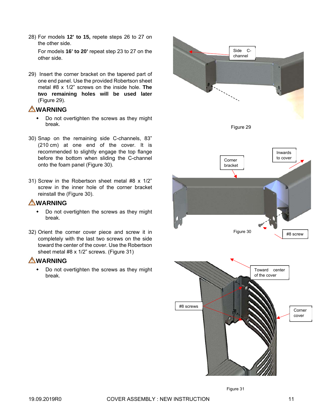28) For models **12' to 15,** repete steps 26 to 27 on the other side.

For models **16' to 20'** repeat step 23 to 27 on the other side.

29) Insert the corner bracket on the tapered part of one end panel. Use the provided Robertson sheet metal #8 x 1/2" screws on the inside hole. **The two remaining holes will be used later** (Figure 29).

#### **WARNING**

- Do not overtighten the screws as they might break.
- 30) Snap on the remaining side C-channels, 83" (210 cm) at one end of the cover. It is recommended to slightly engage the top flange before the bottom when sliding the C-channel onto the foam panel (Figure 30).
- 31) Screw in the Robertson sheet metal #8 x 1/2" screw in the inner hole of the corner bracket reinstall the (Figure 30).

#### **WARNING**

- Do not overtighten the screws as they might break.
- 32) Orient the corner cover piece and screw it in completely with the last two screws on the side toward the center of the cover. Use the Robertson sheet metal #8 x 1/2" screws. (Figure 31)

### **WARNING**

• Do not overtighten the screws as they might break.

![](_page_10_Figure_12.jpeg)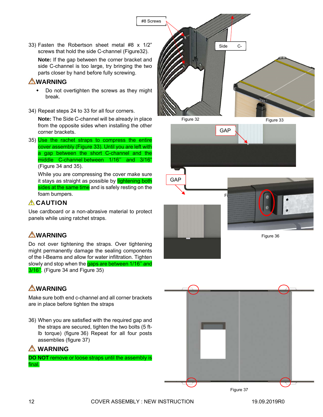33) Fasten the Robertson sheet metal #8 x 1/2" screws that hold the side C-channel (Figure32).

**Note:** If the gap between the corner bracket and side C-channel is too large, try bringing the two parts closer by hand before fully screwing.

#### **WARNING**

- Do not overtighten the screws as they might break.
- 34) Repeat steps 24 to 33 for all four corners.

**Note:** The Side C-channel will be already in place from the opposite sides when installing the other corner brackets.

35) Use the rachet straps to compress the entire cover assembly (Figure 33). Until you are left with a gap between the short C-channel and the middle C-channel between 1/16'' and 3/16" (Figure 34 and 35).

While you are compressing the cover make sure it stays as straight as possible by tightening both sides at the same time and is safely resting on the foam bumpers.

### *A* CAUTION

Use cardboard or a non-abrasive material to protect panels while using ratchet straps.

# **WARNING**

Do not over tightening the straps. Over tightening might permanently damage the sealing components of the I-Beams and allow for water infiltration. Tighten slowly and stop when the gaps are between 1/16" and 3/16''. (Figure 34 and Figure 35)

# **WARNING**

Make sure both end c-channel and all corner brackets are in place before tighten the straps

36) When you are satisfied with the required gap and the straps are secured, tighten the two bolts (5 ftlb torque) (figure 36) Repeat for all four posts assemblies (figure 37)

### **WARNING**

**DO NOT** remove or loose straps until the assembly is final.

![](_page_11_Picture_18.jpeg)

![](_page_11_Picture_19.jpeg)

![](_page_11_Picture_20.jpeg)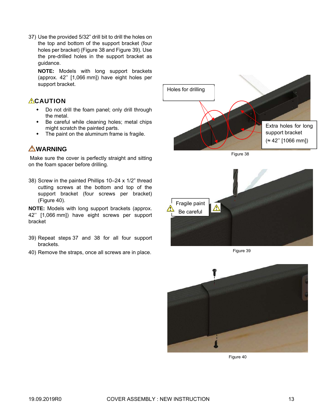37) Use the provided 5/32" drill bit to drill the holes on the top and bottom of the support bracket (four holes per bracket) (Figure 38 and Figure 39). Use the pre-drilled holes in the support bracket as guidance.

**NOTE:** Models with long support brackets (approx. 42'' [1,066 mm]) have eight holes per support bracket.

#### **ACAUTION**

- Do not drill the foam panel; only drill through the metal.
- Be careful while cleaning holes; metal chips might scratch the painted parts.
- The paint on the aluminum frame is fragile.

### *<u>AWARNING</u>*

 Make sure the cover is perfectly straight and sitting on the foam spacer before drilling.

38) Screw in the painted Phillips 10–24 x 1/2" thread cutting screws at the bottom and top of the support bracket (four screws per bracket) (Figure 40).

**NOTE:** Models with long support brackets (approx. 42'' [1,066 mm]) have eight screws per support bracket

- 39) Repeat steps 37 and 38 for all four support brackets.
- 40) Remove the straps, once all screws are in place.

![](_page_12_Picture_12.jpeg)

Figure 39

![](_page_12_Picture_14.jpeg)

Figure 40